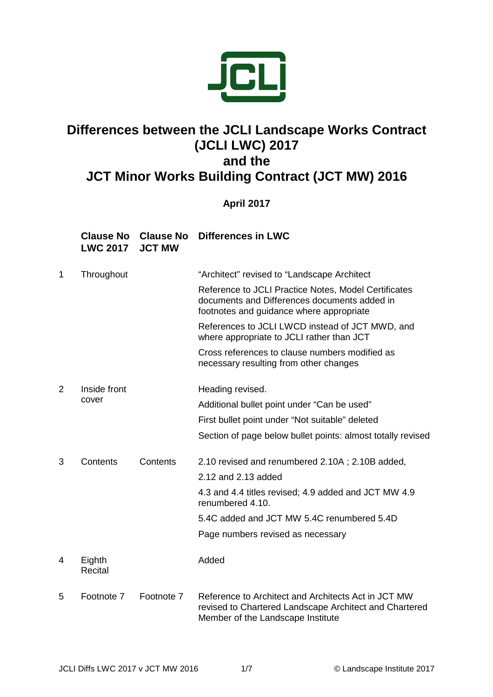

## **Differences between the JCLI Landscape Works Contract (JCLI LWC) 2017 and the**

## **JCT Minor Works Building Contract (JCT MW) 2016**

## **April 2017**

## **Clause No LWC 2017 Clause No JCT MW Differences in LWC**

| 1 | Throughout            |            | "Architect" revised to "Landscape Architect"                                                                                                       |
|---|-----------------------|------------|----------------------------------------------------------------------------------------------------------------------------------------------------|
|   |                       |            | Reference to JCLI Practice Notes, Model Certificates<br>documents and Differences documents added in<br>footnotes and guidance where appropriate   |
|   |                       |            | References to JCLI LWCD instead of JCT MWD, and<br>where appropriate to JCLI rather than JCT                                                       |
|   |                       |            | Cross references to clause numbers modified as<br>necessary resulting from other changes                                                           |
| 2 | Inside front<br>cover |            | Heading revised.                                                                                                                                   |
|   |                       |            | Additional bullet point under "Can be used"                                                                                                        |
|   |                       |            | First bullet point under "Not suitable" deleted                                                                                                    |
|   |                       |            | Section of page below bullet points: almost totally revised                                                                                        |
| 3 | Contents              | Contents   | 2.10 revised and renumbered 2.10A; 2.10B added,                                                                                                    |
|   |                       |            | 2.12 and 2.13 added                                                                                                                                |
|   |                       |            | 4.3 and 4.4 titles revised; 4.9 added and JCT MW 4.9<br>renumbered 4.10.                                                                           |
|   |                       |            | 5.4C added and JCT MW 5.4C renumbered 5.4D                                                                                                         |
|   |                       |            | Page numbers revised as necessary                                                                                                                  |
| 4 | Eighth<br>Recital     |            | Added                                                                                                                                              |
| 5 | Footnote 7            | Footnote 7 | Reference to Architect and Architects Act in JCT MW<br>revised to Chartered Landscape Architect and Chartered<br>Member of the Landscape Institute |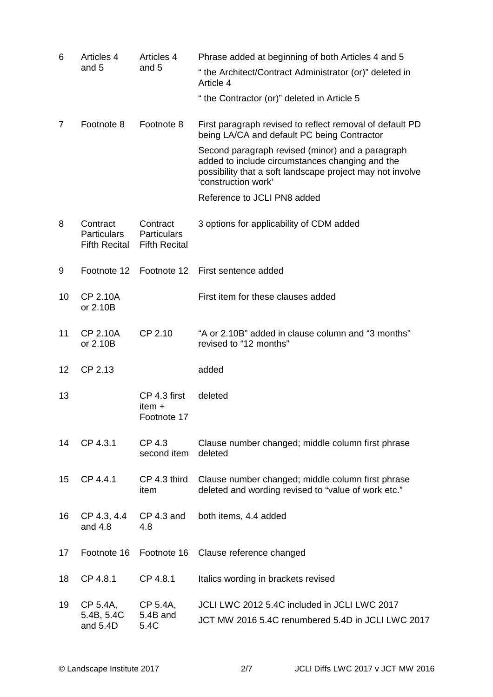| 6              | <b>Articles 4</b><br>and 5                             | Articles 4<br>and 5                                    | Phrase added at beginning of both Articles 4 and 5                                                                                                                                      |
|----------------|--------------------------------------------------------|--------------------------------------------------------|-----------------------------------------------------------------------------------------------------------------------------------------------------------------------------------------|
|                |                                                        |                                                        | " the Architect/Contract Administrator (or)" deleted in<br>Article 4                                                                                                                    |
|                |                                                        |                                                        | "the Contractor (or)" deleted in Article 5                                                                                                                                              |
| $\overline{7}$ | Footnote 8                                             | Footnote 8                                             | First paragraph revised to reflect removal of default PD<br>being LA/CA and default PC being Contractor                                                                                 |
|                |                                                        |                                                        | Second paragraph revised (minor) and a paragraph<br>added to include circumstances changing and the<br>possibility that a soft landscape project may not involve<br>'construction work' |
|                |                                                        |                                                        | Reference to JCLI PN8 added                                                                                                                                                             |
| 8              | Contract<br><b>Particulars</b><br><b>Fifth Recital</b> | Contract<br><b>Particulars</b><br><b>Fifth Recital</b> | 3 options for applicability of CDM added                                                                                                                                                |
| 9              | Footnote 12                                            | Footnote 12                                            | First sentence added                                                                                                                                                                    |
| 10             | <b>CP 2.10A</b><br>or 2.10B                            |                                                        | First item for these clauses added                                                                                                                                                      |
| 11             | <b>CP 2.10A</b><br>or 2.10B                            | CP 2.10                                                | "A or 2.10B" added in clause column and "3 months"<br>revised to "12 months"                                                                                                            |
| 12             | CP 2.13                                                |                                                        | added                                                                                                                                                                                   |
| 13             |                                                        | CP 4.3 first<br>item $+$<br>Footnote 17                | deleted                                                                                                                                                                                 |
| 14             | CP 4.3.1                                               | CP 4.3<br>second item                                  | Clause number changed; middle column first phrase<br>deleted                                                                                                                            |
| 15             | CP 4.4.1                                               | CP 4.3 third<br>item                                   | Clause number changed; middle column first phrase<br>deleted and wording revised to "value of work etc."                                                                                |
| 16             | CP 4.3, 4.4<br>and 4.8                                 | CP 4.3 and<br>4.8                                      | both items, 4.4 added                                                                                                                                                                   |
| 17             | Footnote 16                                            | Footnote 16                                            | Clause reference changed                                                                                                                                                                |
| 18             | CP 4.8.1                                               | CP 4.8.1                                               | Italics wording in brackets revised                                                                                                                                                     |
| 19             | CP 5.4A,<br>5.4B, 5.4C<br>and 5.4D                     | CP 5.4A,<br>5.4B and<br>5.4C                           | JCLI LWC 2012 5.4C included in JCLI LWC 2017<br>JCT MW 2016 5.4C renumbered 5.4D in JCLI LWC 2017                                                                                       |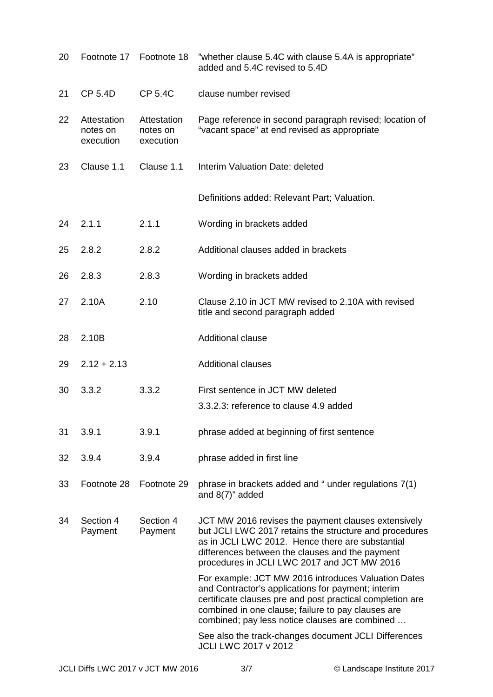| 20 | Footnote 17                          | Footnote 18                          | "whether clause 5.4C with clause 5.4A is appropriate"<br>added and 5.4C revised to 5.4D                                                                                                                                                                                        |
|----|--------------------------------------|--------------------------------------|--------------------------------------------------------------------------------------------------------------------------------------------------------------------------------------------------------------------------------------------------------------------------------|
| 21 | <b>CP 5.4D</b>                       | <b>CP 5.4C</b>                       | clause number revised                                                                                                                                                                                                                                                          |
| 22 | Attestation<br>notes on<br>execution | Attestation<br>notes on<br>execution | Page reference in second paragraph revised; location of<br>"vacant space" at end revised as appropriate                                                                                                                                                                        |
| 23 | Clause 1.1                           | Clause 1.1                           | Interim Valuation Date: deleted                                                                                                                                                                                                                                                |
|    |                                      |                                      | Definitions added: Relevant Part; Valuation.                                                                                                                                                                                                                                   |
| 24 | 2.1.1                                | 2.1.1                                | Wording in brackets added                                                                                                                                                                                                                                                      |
| 25 | 2.8.2                                | 2.8.2                                | Additional clauses added in brackets                                                                                                                                                                                                                                           |
| 26 | 2.8.3                                | 2.8.3                                | Wording in brackets added                                                                                                                                                                                                                                                      |
| 27 | 2.10A                                | 2.10                                 | Clause 2.10 in JCT MW revised to 2.10A with revised<br>title and second paragraph added                                                                                                                                                                                        |
| 28 | 2.10B                                |                                      | <b>Additional clause</b>                                                                                                                                                                                                                                                       |
| 29 | $2.12 + 2.13$                        |                                      | <b>Additional clauses</b>                                                                                                                                                                                                                                                      |
| 30 | 3.3.2                                | 3.3.2                                | First sentence in JCT MW deleted<br>3.3.2.3: reference to clause 4.9 added                                                                                                                                                                                                     |
| 31 | 3.9.1                                | 3.9.1                                | phrase added at beginning of first sentence                                                                                                                                                                                                                                    |
| 32 | 3.9.4                                | 3.9.4                                | phrase added in first line                                                                                                                                                                                                                                                     |
| 33 | Footnote 28                          | Footnote 29                          | phrase in brackets added and "under regulations 7(1)<br>and $8(7)$ " added                                                                                                                                                                                                     |
| 34 | Section 4<br>Payment                 | Section 4<br>Payment                 | JCT MW 2016 revises the payment clauses extensively<br>but JCLI LWC 2017 retains the structure and procedures<br>as in JCLI LWC 2012. Hence there are substantial<br>differences between the clauses and the payment<br>procedures in JCLI LWC 2017 and JCT MW 2016            |
|    |                                      |                                      | For example: JCT MW 2016 introduces Valuation Dates<br>and Contractor's applications for payment; interim<br>certificate clauses pre and post practical completion are<br>combined in one clause; failure to pay clauses are<br>combined; pay less notice clauses are combined |
|    |                                      |                                      | See also the track-changes document JCLI Differences<br>JCLI LWC 2017 v 2012                                                                                                                                                                                                   |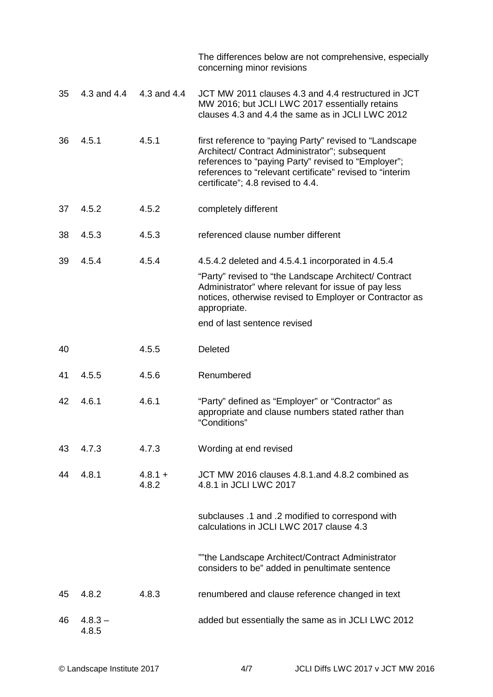|    |                    |                    | The differences below are not comprehensive, especially<br>concerning minor revisions                                                                                                                                                                             |
|----|--------------------|--------------------|-------------------------------------------------------------------------------------------------------------------------------------------------------------------------------------------------------------------------------------------------------------------|
| 35 | 4.3 and 4.4        | 4.3 and 4.4        | JCT MW 2011 clauses 4.3 and 4.4 restructured in JCT<br>MW 2016; but JCLI LWC 2017 essentially retains<br>clauses 4.3 and 4.4 the same as in JCLI LWC 2012                                                                                                         |
| 36 | 4.5.1              | 4.5.1              | first reference to "paying Party" revised to "Landscape<br>Architect/ Contract Administrator"; subsequent<br>references to "paying Party" revised to "Employer";<br>references to "relevant certificate" revised to "interim<br>certificate"; 4.8 revised to 4.4. |
| 37 | 4.5.2              | 4.5.2              | completely different                                                                                                                                                                                                                                              |
| 38 | 4.5.3              | 4.5.3              | referenced clause number different                                                                                                                                                                                                                                |
| 39 | 4.5.4              | 4.5.4              | 4.5.4.2 deleted and 4.5.4.1 incorporated in 4.5.4                                                                                                                                                                                                                 |
|    |                    |                    | "Party" revised to "the Landscape Architect/ Contract<br>Administrator" where relevant for issue of pay less<br>notices, otherwise revised to Employer or Contractor as<br>appropriate.                                                                           |
|    |                    |                    | end of last sentence revised                                                                                                                                                                                                                                      |
| 40 |                    | 4.5.5              | <b>Deleted</b>                                                                                                                                                                                                                                                    |
| 41 | 4.5.5              | 4.5.6              | Renumbered                                                                                                                                                                                                                                                        |
| 42 | 4.6.1              | 4.6.1              | "Party" defined as "Employer" or "Contractor" as<br>appropriate and clause numbers stated rather than<br>"Conditions"                                                                                                                                             |
| 43 | 4.7.3              | 4.7.3              | Wording at end revised                                                                                                                                                                                                                                            |
| 44 | 4.8.1              | $4.8.1 +$<br>4.8.2 | JCT MW 2016 clauses 4.8.1.and 4.8.2 combined as<br>4.8.1 in JCLI LWC 2017                                                                                                                                                                                         |
|    |                    |                    | subclauses .1 and .2 modified to correspond with<br>calculations in JCLI LWC 2017 clause 4.3                                                                                                                                                                      |
|    |                    |                    | ""the Landscape Architect/Contract Administrator<br>considers to be" added in penultimate sentence                                                                                                                                                                |
| 45 | 4.8.2              | 4.8.3              | renumbered and clause reference changed in text                                                                                                                                                                                                                   |
| 46 | $4.8.3 -$<br>4.8.5 |                    | added but essentially the same as in JCLI LWC 2012                                                                                                                                                                                                                |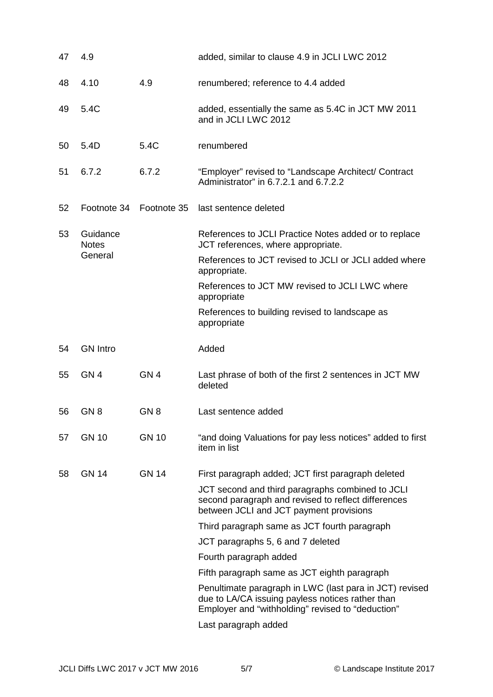| 47 | 4.9                      |                 | added, similar to clause 4.9 in JCLI LWC 2012                                                                                                                    |
|----|--------------------------|-----------------|------------------------------------------------------------------------------------------------------------------------------------------------------------------|
| 48 | 4.10                     | 4.9             | renumbered; reference to 4.4 added                                                                                                                               |
| 49 | 5.4C                     |                 | added, essentially the same as 5.4C in JCT MW 2011<br>and in JCLI LWC 2012                                                                                       |
| 50 | 5.4D                     | 5.4C            | renumbered                                                                                                                                                       |
| 51 | 6.7.2                    | 6.7.2           | "Employer" revised to "Landscape Architect/ Contract<br>Administrator" in 6.7.2.1 and 6.7.2.2                                                                    |
| 52 | Footnote 34              | Footnote 35     | last sentence deleted                                                                                                                                            |
| 53 | Guidance<br><b>Notes</b> |                 | References to JCLI Practice Notes added or to replace<br>JCT references, where appropriate.                                                                      |
|    | General                  |                 | References to JCT revised to JCLI or JCLI added where<br>appropriate.                                                                                            |
|    |                          |                 | References to JCT MW revised to JCLI LWC where<br>appropriate                                                                                                    |
|    |                          |                 | References to building revised to landscape as<br>appropriate                                                                                                    |
| 54 | <b>GN Intro</b>          |                 | Added                                                                                                                                                            |
| 55 | GN <sub>4</sub>          | GN <sub>4</sub> | Last phrase of both of the first 2 sentences in JCT MW<br>deleted                                                                                                |
| 56 | GN <sub>8</sub>          | GN <sub>8</sub> | Last sentence added                                                                                                                                              |
| 57 | <b>GN 10</b>             | <b>GN 10</b>    | "and doing Valuations for pay less notices" added to first<br>item in list                                                                                       |
| 58 | <b>GN 14</b>             | <b>GN 14</b>    | First paragraph added; JCT first paragraph deleted                                                                                                               |
|    |                          |                 | JCT second and third paragraphs combined to JCLI<br>second paragraph and revised to reflect differences<br>between JCLI and JCT payment provisions               |
|    |                          |                 | Third paragraph same as JCT fourth paragraph                                                                                                                     |
|    |                          |                 | JCT paragraphs 5, 6 and 7 deleted                                                                                                                                |
|    |                          |                 |                                                                                                                                                                  |
|    |                          |                 | Fourth paragraph added                                                                                                                                           |
|    |                          |                 | Fifth paragraph same as JCT eighth paragraph                                                                                                                     |
|    |                          |                 | Penultimate paragraph in LWC (last para in JCT) revised<br>due to LA/CA issuing payless notices rather than<br>Employer and "withholding" revised to "deduction" |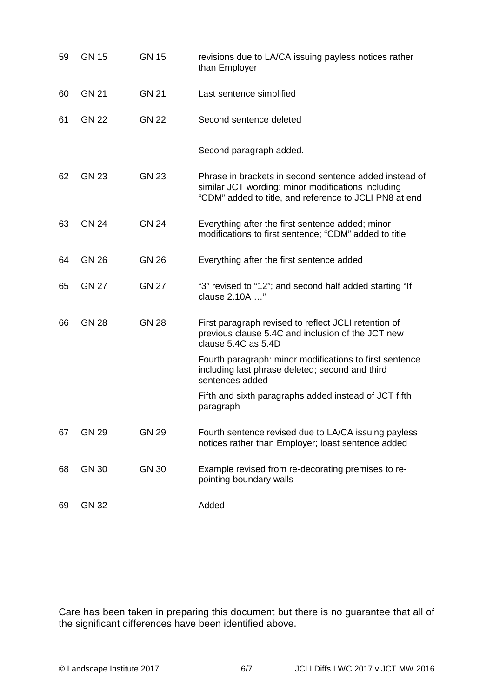| 59 | <b>GN 15</b> | <b>GN 15</b> | revisions due to LA/CA issuing payless notices rather<br>than Employer                                                                                                 |
|----|--------------|--------------|------------------------------------------------------------------------------------------------------------------------------------------------------------------------|
| 60 | <b>GN 21</b> | <b>GN 21</b> | Last sentence simplified                                                                                                                                               |
| 61 | <b>GN 22</b> | <b>GN 22</b> | Second sentence deleted                                                                                                                                                |
|    |              |              | Second paragraph added.                                                                                                                                                |
| 62 | <b>GN 23</b> | <b>GN 23</b> | Phrase in brackets in second sentence added instead of<br>similar JCT wording; minor modifications including<br>"CDM" added to title, and reference to JCLI PN8 at end |
| 63 | <b>GN 24</b> | <b>GN 24</b> | Everything after the first sentence added; minor<br>modifications to first sentence; "CDM" added to title                                                              |
| 64 | <b>GN 26</b> | <b>GN 26</b> | Everything after the first sentence added                                                                                                                              |
| 65 | <b>GN 27</b> | <b>GN 27</b> | "3" revised to "12"; and second half added starting "If<br>clause 2.10A "                                                                                              |
| 66 | <b>GN 28</b> | <b>GN 28</b> | First paragraph revised to reflect JCLI retention of<br>previous clause 5.4C and inclusion of the JCT new<br>clause 5.4C as 5.4D                                       |
|    |              |              | Fourth paragraph: minor modifications to first sentence<br>including last phrase deleted; second and third<br>sentences added                                          |
|    |              |              | Fifth and sixth paragraphs added instead of JCT fifth<br>paragraph                                                                                                     |
| 67 | <b>GN 29</b> | <b>GN 29</b> | Fourth sentence revised due to LA/CA issuing payless<br>notices rather than Employer; loast sentence added                                                             |
| 68 | <b>GN 30</b> | <b>GN 30</b> | Example revised from re-decorating premises to re-<br>pointing boundary walls                                                                                          |
| 69 | <b>GN 32</b> |              | Added                                                                                                                                                                  |

Care has been taken in preparing this document but there is no guarantee that all of the significant differences have been identified above.